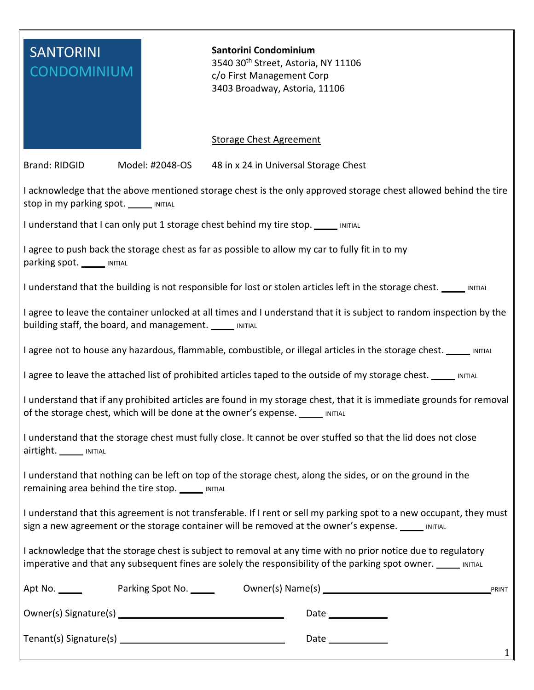| <b>SANTORINI</b>                                                                                                                                                                                                                 | Santorini Condominium<br>3540 30 <sup>th</sup> Street, Astoria, NY 11106 |
|----------------------------------------------------------------------------------------------------------------------------------------------------------------------------------------------------------------------------------|--------------------------------------------------------------------------|
| <b>CONDOMINIUM</b>                                                                                                                                                                                                               | c/o First Management Corp                                                |
|                                                                                                                                                                                                                                  | 3403 Broadway, Astoria, 11106                                            |
|                                                                                                                                                                                                                                  | <b>Storage Chest Agreement</b>                                           |
| <b>Brand: RIDGID</b><br>Model: #2048-OS                                                                                                                                                                                          | 48 in x 24 in Universal Storage Chest                                    |
| I acknowledge that the above mentioned storage chest is the only approved storage chest allowed behind the tire<br>Stop in my parking spot. ______ INITIAL                                                                       |                                                                          |
| I understand that I can only put 1 storage chest behind my tire stop. _____ INITIAL                                                                                                                                              |                                                                          |
| I agree to push back the storage chest as far as possible to allow my car to fully fit in to my<br>parking spot. MITIAL                                                                                                          |                                                                          |
| I understand that the building is not responsible for lost or stolen articles left in the storage chest. _____ INITIAL                                                                                                           |                                                                          |
| I agree to leave the container unlocked at all times and I understand that it is subject to random inspection by the<br>building staff, the board, and management. _____ INITIAL                                                 |                                                                          |
| I agree not to house any hazardous, flammable, combustible, or illegal articles in the storage chest. _____ INITIAL                                                                                                              |                                                                          |
| I agree to leave the attached list of prohibited articles taped to the outside of my storage chest. _____ INITIAL                                                                                                                |                                                                          |
| I understand that if any prohibited articles are found in my storage chest, that it is immediate grounds for removal<br>of the storage chest, which will be done at the owner's expense.<br>INITIAL                              |                                                                          |
| I understand that the storage chest must fully close. It cannot be over stuffed so that the lid does not close<br>airtight. ______ INITIAL                                                                                       |                                                                          |
| I understand that nothing can be left on top of the storage chest, along the sides, or on the ground in the<br>remaining area behind the tire stop. MITIAL                                                                       |                                                                          |
| I understand that this agreement is not transferable. If I rent or sell my parking spot to a new occupant, they must<br>sign a new agreement or the storage container will be removed at the owner's expense. _____ INITIAL      |                                                                          |
| I acknowledge that the storage chest is subject to removal at any time with no prior notice due to regulatory<br>imperative and that any subsequent fines are solely the responsibility of the parking spot owner. _____ INITIAL |                                                                          |
| Apt No. $\_\_\_\_\_\_\$<br>PRINT                                                                                                                                                                                                 |                                                                          |
|                                                                                                                                                                                                                                  |                                                                          |
| $\mathbf{1}$                                                                                                                                                                                                                     |                                                                          |